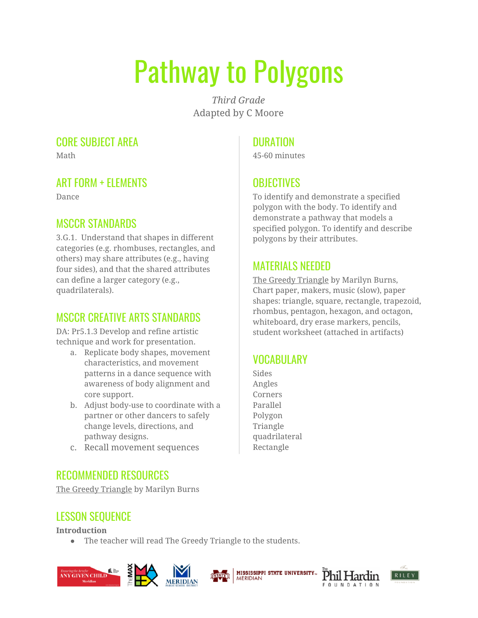# Pathway to Polygons

*Third Grade* Adapted by C Moore

#### CORE SUBJECT AREA

Math

#### ART FORM + ELEMENTS

Dance

#### MSCCR STANDARDS

3.G.1. Understand that shapes in different categories (e.g. rhombuses, rectangles, and others) may share attributes (e.g., having four sides), and that the shared attributes can define a larger category (e.g., quadrilaterals).

#### MSCCR CREATIVE ARTS STANDARDS

DA: Pr5.1.3 Develop and refine artistic technique and work for presentation.

- a. Replicate body shapes, movement characteristics, and movement patterns in a dance sequence with awareness of body alignment and core support.
- b. Adjust body-use to coordinate with a partner or other dancers to safely change levels, directions, and pathway designs.
- c. Recall movement sequences

### **DURATION**

45-60 minutes

## **OBJECTIVES**

To identify and demonstrate a specified polygon with the body. To identify and demonstrate a pathway that models a specified polygon. To identify and describe polygons by their attributes.

#### MATERIALS NEEDED

The Greedy Triangle by Marilyn Burns, Chart paper, makers, music (slow), paper shapes: triangle, square, rectangle, trapezoid, rhombus, pentagon, hexagon, and octagon, whiteboard, dry erase markers, pencils, student worksheet (attached in artifacts)

# VOCABULARY

Sides Angles Corners Parallel Polygon Triangle quadrilateral Rectangle

#### RECOMMENDED RESOURCES

The Greedy Triangle by Marilyn Burns

# LESSON SEQUENCE

**Introduction**

● The teacher will read The Greedy Triangle to the students.